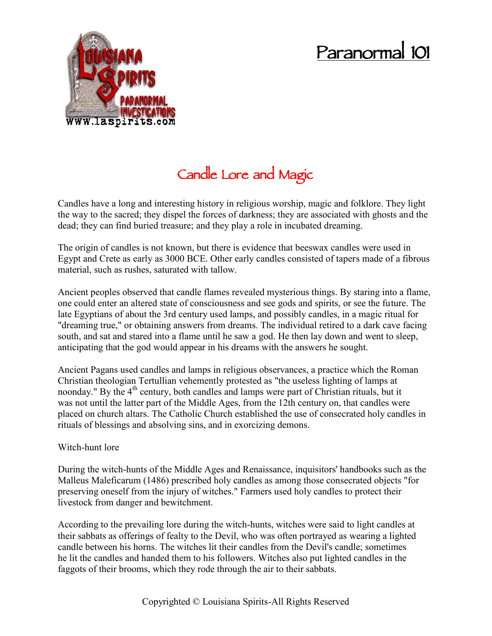# **Paranormal 101**



# **Candle Lore and Magic**

Candles have a long and interesting history in religious worship, magic and folklore. They light the way to the sacred; they dispel the forces of darkness; they are associated with ghosts and the dead; they can find buried treasure; and they play a role in incubated dreaming.

The origin of candles is not known, but there is evidence that beeswax candles were used in Egypt and Crete as early as 3000 BCE. Other early candles consisted of tapers made of a fibrous material, such as rushes, saturated with tallow.

Ancient peoples observed that candle flames revealed mysterious things. By staring into a flame, one could enter an altered state of consciousness and see gods and spirits, or see the future. The late Egyptians of about the 3rd century used lamps, and possibly candles, in a magic ritual for "dreaming true," or obtaining answers from dreams. The individual retired to a dark cave facing south, and sat and stared into a flame until he saw a god. He then lay down and went to sleep, anticipating that the god would appear in his dreams with the answers he sought.

Ancient Pagans used candles and lamps in religious observances, a practice which the Roman Christian theologian Tertullian vehemently protested as "the useless lighting of lamps at noonday." By the 4<sup>th</sup> century, both candles and lamps were part of Christian rituals, but it was not until the latter part of the Middle Ages, from the 12th century on, that candles were placed on church altars. The Catholic Church established the use of consecrated holy candles in rituals of blessings and absolving sins, and in exorcizing demons.

## Witch-hunt lore

During the witch-hunts of the Middle Ages and Renaissance, inquisitors' handbooks such as the Malleus Maleficarum (1486) prescribed holy candles as among those consecrated objects "for preserving oneself from the injury of witches." Farmers used holy candles to protect their livestock from danger and bewitchment.

According to the prevailing lore during the witch-hunts, witches were said to light candles at their sabbats as offerings of fealty to the Devil, who was often portrayed as wearing a lighted candle between his horns. The witches lit their candles from the Devil's candle; sometimes he lit the candles and handed them to his followers. Witches also put lighted candles in the faggots of their brooms, which they rode through the air to their sabbats.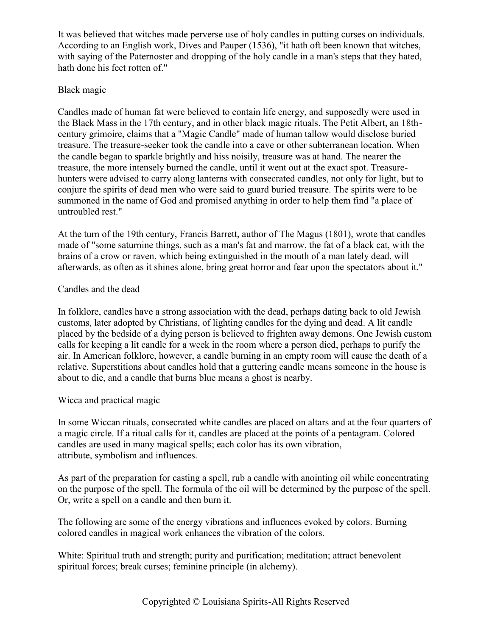It was believed that witches made perverse use of holy candles in putting curses on individuals. According to an English work, Dives and Pauper (1536), "it hath oft been known that witches, with saying of the Paternoster and dropping of the holy candle in a man's steps that they hated, hath done his feet rotten of."

#### Black magic

Candles made of human fat were believed to contain life energy, and supposedly were used in the Black Mass in the 17th century, and in other black magic rituals. The Petit Albert, an 18th century grimoire, claims that a "Magic Candle" made of human tallow would disclose buried treasure. The treasure-seeker took the candle into a cave or other subterranean location. When the candle began to sparkle brightly and hiss noisily, treasure was at hand. The nearer the treasure, the more intensely burned the candle, until it went out at the exact spot. Treasure hunters were advised to carry along lanterns with consecrated candles, not only for light, but to conjure the spirits of dead men who were said to guard buried treasure. The spirits were to be summoned in the name of God and promised anything in order to help them find "a place of untroubled rest."

At the turn of the 19th century, Francis Barrett, author of The Magus (1801), wrote that candles made of "some saturnine things, such as a man's fat and marrow, the fat of a black cat, with the brains of a crow or raven, which being extinguished in the mouth of a man lately dead, will afterwards, as often as it shines alone, bring great horror and fear upon the spectators about it."

### Candles and the dead

In folklore, candles have a strong association with the dead, perhaps dating back to old Jewish customs, later adopted by Christians, of lighting candles for the dying and dead. A lit candle placed by the bedside of a dying person is believed to frighten away demons. One Jewish custom calls for keeping a lit candle for a week in the room where a person died, perhaps to purify the air. In American folklore, however, a candle burning in an empty room will cause the death of a relative. Superstitions about candles hold that a guttering candle means someone in the house is about to die, and a candle that burns blue means a ghost is nearby.

#### Wicca and practical magic

In some Wiccan rituals, consecrated white candles are placed on altars and at the four quarters of a magic circle. If a ritual calls for it, candles are placed at the points of a pentagram. Colored candles are used in many magical spells; each color has its own vibration, attribute, symbolism and influences.

As part of the preparation for casting a spell, rub a candle with anointing oil while concentrating on the purpose of the spell. The formula of the oil will be determined by the purpose of the spell. Or, write a spell on a candle and then burn it.

The following are some of the energy vibrations and influences evoked by colors. Burning colored candles in magical work enhances the vibration of the colors.

White: Spiritual truth and strength; purity and purification; meditation; attract benevolent spiritual forces; break curses; feminine principle (in alchemy).